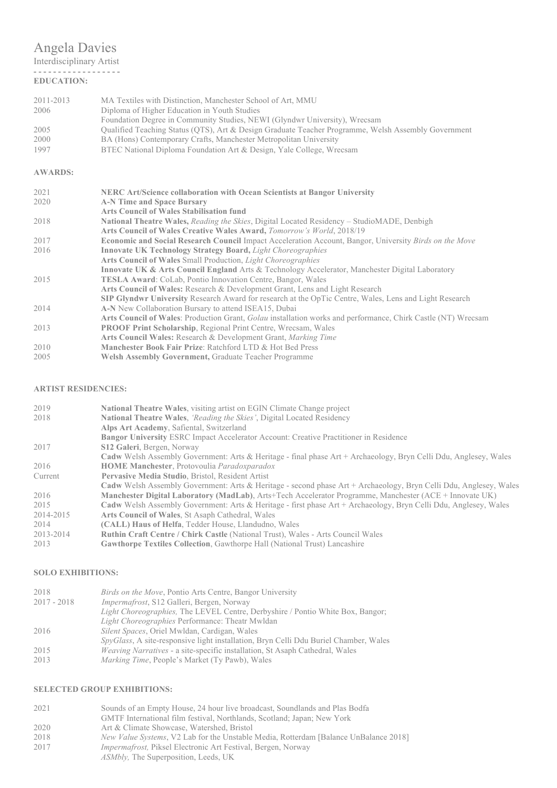# Angela Davies

Interdisciplinary Artist

**- - - - - - - - - - - - - - - - - -**

**EDUCATION:**

| 2011-2013<br>2006 | MA Textiles with Distinction, Manchester School of Art, MMU<br>Diploma of Higher Education in Youth Studies |
|-------------------|-------------------------------------------------------------------------------------------------------------|
|                   | Foundation Degree in Community Studies, NEWI (Glyndwr University), Wrecsam                                  |
| 2005              | Qualified Teaching Status (QTS), Art & Design Graduate Teacher Programme, Welsh Assembly Government         |
| 2000              | BA (Hons) Contemporary Crafts, Manchester Metropolitan University                                           |
| 1997              | BTEC National Diploma Foundation Art & Design, Yale College, Wrecsam                                        |

## **AWARDS:**

| 2021 | NERC Art/Science collaboration with Ocean Scientists at Bangor University                                           |
|------|---------------------------------------------------------------------------------------------------------------------|
| 2020 | <b>A-N Time and Space Bursary</b>                                                                                   |
|      | <b>Arts Council of Wales Stabilisation fund</b>                                                                     |
| 2018 | <b>National Theatre Wales, Reading the Skies, Digital Located Residency – StudioMADE, Denbight</b>                  |
|      | Arts Council of Wales Creative Wales Award, <i>Tomorrow's World</i> , 2018/19                                       |
| 2017 | <b>Economic and Social Research Council Impact Acceleration Account, Bangor, University Birds on the Move</b>       |
| 2016 | <b>Innovate UK Technology Strategy Board, Light Choreographies</b>                                                  |
|      | <b>Arts Council of Wales Small Production, Light Choreographies</b>                                                 |
|      | <b>Innovate UK &amp; Arts Council England Arts &amp; Technology Accelerator, Manchester Digital Laboratory</b>      |
| 2015 | <b>TESLA Award:</b> CoLab, Pontio Innovation Centre, Bangor, Wales                                                  |
|      | Arts Council of Wales: Research & Development Grant, Lens and Light Research                                        |
|      | <b>SIP Glyndwr University Research Award for research at the OpTic Centre, Wales, Lens and Light Research</b>       |
| 2014 | A-N New Collaboration Bursary to attend ISEA15, Dubai                                                               |
|      | Arts Council of Wales: Production Grant, <i>Golau</i> installation works and performance, Chirk Castle (NT) Wrecsam |
| 2013 | <b>PROOF Print Scholarship, Regional Print Centre, Wrecsam, Wales</b>                                               |
|      | Arts Council Wales: Research & Development Grant, Marking Time                                                      |
| 2010 | <b>Manchester Book Fair Prize: Ratchford LTD &amp; Hot Bed Press</b>                                                |
| 2005 | Welsh Assembly Government, Graduate Teacher Programme                                                               |
|      |                                                                                                                     |

#### **ARTIST RESIDENCIES:**

| 2019      | <b>National Theatre Wales, visiting artist on EGIN Climate Change project</b>                                     |
|-----------|-------------------------------------------------------------------------------------------------------------------|
| 2018      | <b>National Theatre Wales, 'Reading the Skies', Digital Located Residency</b>                                     |
|           | Alps Art Academy, Safiental, Switzerland                                                                          |
|           | <b>Bangor University ESRC Impact Accelerator Account: Creative Practitioner in Residence</b>                      |
| 2017      | S <sub>12</sub> Galeri, Bergen, Norway                                                                            |
|           | Cadw Welsh Assembly Government: Arts & Heritage - final phase Art + Archaeology, Bryn Celli Ddu, Anglesey, Wales  |
| 2016      | <b>HOME Manchester</b> , Protovoulia Paradoxparadox                                                               |
| Current   | Pervasive Media Studio, Bristol, Resident Artist                                                                  |
|           | Cadw Welsh Assembly Government: Arts & Heritage - second phase Art + Archaeology, Bryn Celli Ddu, Anglesey, Wales |
| 2016      | Manchester Digital Laboratory (MadLab), Arts+Tech Accelerator Programme, Manchester (ACE + Innovate UK)           |
| 2015      | Cadw Welsh Assembly Government: Arts & Heritage - first phase Art + Archaeology, Bryn Celli Ddu, Anglesey, Wales  |
| 2014-2015 | Arts Council of Wales, St Asaph Cathedral, Wales                                                                  |
| 2014      | (CALL) Haus of Helfa. Tedder House, Llandudno, Wales                                                              |
| 2013-2014 | <b>Ruthin Craft Centre / Chirk Castle (National Trust), Wales - Arts Council Wales</b>                            |
| 2013      | <b>Gawthorpe Textiles Collection, Gawthorpe Hall (National Trust) Lancashire</b>                                  |

#### **SOLO EXHIBITIONS:**

| 2018          | <i>Birds on the Move</i> , Pontio Arts Centre, Bangor University                             |
|---------------|----------------------------------------------------------------------------------------------|
| $2017 - 2018$ | Impermafrost, S12 Galleri, Bergen, Norway                                                    |
|               | <i>Light Choreographies</i> , The LEVEL Centre, Derbyshire / Pontio White Box, Bangor;       |
|               | <i>Light Choreographies Performance: Theatr Mwldan</i>                                       |
| 2016          | <i>Silent Spaces, Oriel Mwldan, Cardigan, Wales</i>                                          |
|               | <i>SpyGlass</i> , A site-responsive light installation, Bryn Celli Ddu Buriel Chamber, Wales |
| 2015          | <i>Weaving Narratives</i> - a site-specific installation, St Asaph Cathedral, Wales          |
| 2013          | <i>Marking Time, People's Market (Ty Pawb), Wales</i>                                        |
|               |                                                                                              |

## **SELECTED GROUP EXHIBITIONS:**

| 2021 | Sounds of an Empty House, 24 hour live broadcast, Soundlands and Plas Bodfa                                          |
|------|----------------------------------------------------------------------------------------------------------------------|
|      | GMTF International film festival, Northlands, Scotland; Japan; New York                                              |
| 2020 | Art & Climate Showcase, Watershed, Bristol                                                                           |
| 2018 | <i>New Value Systems, V2 Lab for the Unstable Media, Rotterdam [Balance UnBalance 2018]</i>                          |
| 2017 | <i>Impermafrost</i> , Piksel Electronic Art Festival, Bergen, Norway<br><i>ASMbly</i> , The Superposition, Leeds, UK |
|      |                                                                                                                      |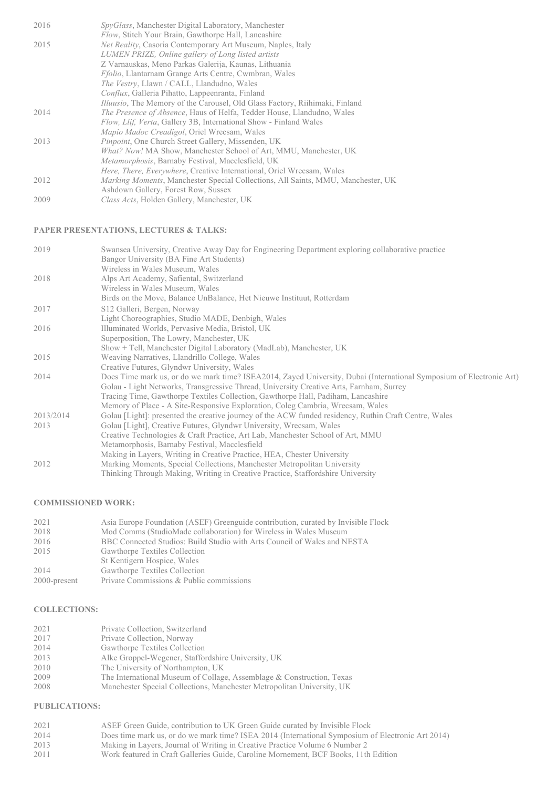| 2016 | SpyGlass, Manchester Digital Laboratory, Manchester                              |
|------|----------------------------------------------------------------------------------|
|      | Flow, Stitch Your Brain, Gawthorpe Hall, Lancashire                              |
| 2015 | Net Reality, Casoria Contemporary Art Museum, Naples, Italy                      |
|      | LUMEN PRIZE, Online gallery of Long listed artists                               |
|      | Z Varnauskas, Meno Parkas Galerija, Kaunas, Lithuania                            |
|      | <i>Ffolio</i> , Llantarnam Grange Arts Centre, Cwmbran, Wales                    |
|      | The Vestry, Llawn / CALL, Llandudno, Wales                                       |
|      | Conflux, Galleria Pihatto, Lappeenranta, Finland                                 |
|      | Illuusio, The Memory of the Carousel, Old Glass Factory, Riihimaki, Finland      |
| 2014 | <i>The Presence of Absence</i> , Haus of Helfa, Tedder House, Llandudno, Wales   |
|      | Flow, Llif, Verta, Gallery 3B, International Show - Finland Wales                |
|      | Mapio Madoc Creadigol, Oriel Wrecsam, Wales                                      |
| 2013 | Pinpoint, One Church Street Gallery, Missenden, UK                               |
|      | <i>What? Now!</i> MA Show, Manchester School of Art, MMU, Manchester, UK         |
|      | <i>Metamorphosis</i> , Barnaby Festival, Macclesfield, UK                        |
|      | Here, There, Everywhere, Creative International, Oriel Wrecsam, Wales            |
| 2012 | Marking Moments, Manchester Special Collections, All Saints, MMU, Manchester, UK |
|      | Ashdown Gallery, Forest Row, Sussex                                              |
| 2009 | Class Acts, Holden Gallery, Manchester, UK                                       |

## **PAPER PRESENTATIONS, LECTURES & TALKS:**

| 2019      | Swansea University, Creative Away Day for Engineering Department exploring collaborative practice                    |
|-----------|----------------------------------------------------------------------------------------------------------------------|
|           | Bangor University (BA Fine Art Students)                                                                             |
|           | Wireless in Wales Museum, Wales                                                                                      |
| 2018      | Alps Art Academy, Safiental, Switzerland                                                                             |
|           | Wireless in Wales Museum, Wales                                                                                      |
|           | Birds on the Move, Balance UnBalance, Het Nieuwe Instituut, Rotterdam                                                |
| 2017      | S12 Galleri, Bergen, Norway                                                                                          |
|           | Light Choreographies, Studio MADE, Denbigh, Wales                                                                    |
| 2016      | Illuminated Worlds, Pervasive Media, Bristol, UK                                                                     |
|           | Superposition, The Lowry, Manchester, UK                                                                             |
|           | Show + Tell, Manchester Digital Laboratory (MadLab), Manchester, UK                                                  |
| 2015      | Weaving Narratives, Llandrillo College, Wales                                                                        |
|           | Creative Futures, Glyndwr University, Wales                                                                          |
| 2014      | Does Time mark us, or do we mark time? ISEA2014, Zayed University, Dubai (International Symposium of Electronic Art) |
|           | Golau - Light Networks, Transgressive Thread, University Creative Arts, Farnham, Surrey                              |
|           | Tracing Time, Gawthorpe Textiles Collection, Gawthorpe Hall, Padiham, Lancashire                                     |
|           | Memory of Place - A Site-Responsive Exploration, Coleg Cambria, Wrecsam, Wales                                       |
| 2013/2014 | Golau [Light]: presented the creative journey of the ACW funded residency, Ruthin Craft Centre, Wales                |
| 2013      | Golau [Light], Creative Futures, Glyndwr University, Wrecsam, Wales                                                  |
|           | Creative Technologies & Craft Practice, Art Lab, Manchester School of Art, MMU                                       |
|           | Metamorphosis, Barnaby Festival, Macclesfield                                                                        |
|           | Making in Layers, Writing in Creative Practice, HEA, Chester University                                              |
| 2012      | Marking Moments, Special Collections, Manchester Metropolitan University                                             |
|           | Thinking Through Making, Writing in Creative Practice, Staffordshire University                                      |

#### **COMMISSIONED WORK:**

| 2021         | Asia Europe Foundation (ASEF) Greenguide contribution, curated by Invisible Flock |
|--------------|-----------------------------------------------------------------------------------|
| 2018         | Mod Comms (StudioMade collaboration) for Wireless in Wales Museum                 |
| 2016         | BBC Connected Studios: Build Studio with Arts Council of Wales and NESTA          |
| 2015         | Gawthorpe Textiles Collection                                                     |
|              | St Kentigern Hospice, Wales                                                       |
| 2014         | Gawthorpe Textiles Collection                                                     |
| 2000-present | Private Commissions & Public commissions                                          |

#### **COLLECTIONS:**

| 2021 | Private Collection, Switzerland                                        |
|------|------------------------------------------------------------------------|
| 2017 | Private Collection, Norway                                             |
| 2014 | Gawthorpe Textiles Collection                                          |
| 2013 | Alke Groppel-Wegener, Staffordshire University, UK                     |
| 2010 | The University of Northampton, UK                                      |
| 2009 | The International Museum of Collage, Assemblage & Construction, Texas  |
| 2008 | Manchester Special Collections, Manchester Metropolitan University, UK |

#### **PUBLICATIONS:**

| 2021 | ASEF Green Guide, contribution to UK Green Guide curated by Invisible Flock                       |
|------|---------------------------------------------------------------------------------------------------|
| 2014 | Does time mark us, or do we mark time? ISEA 2014 (International Symposium of Electronic Art 2014) |
| 2013 | Making in Layers, Journal of Writing in Creative Practice Volume 6 Number 2                       |
| 2011 | Work featured in Craft Galleries Guide, Caroline Mornement, BCF Books, 11th Edition               |